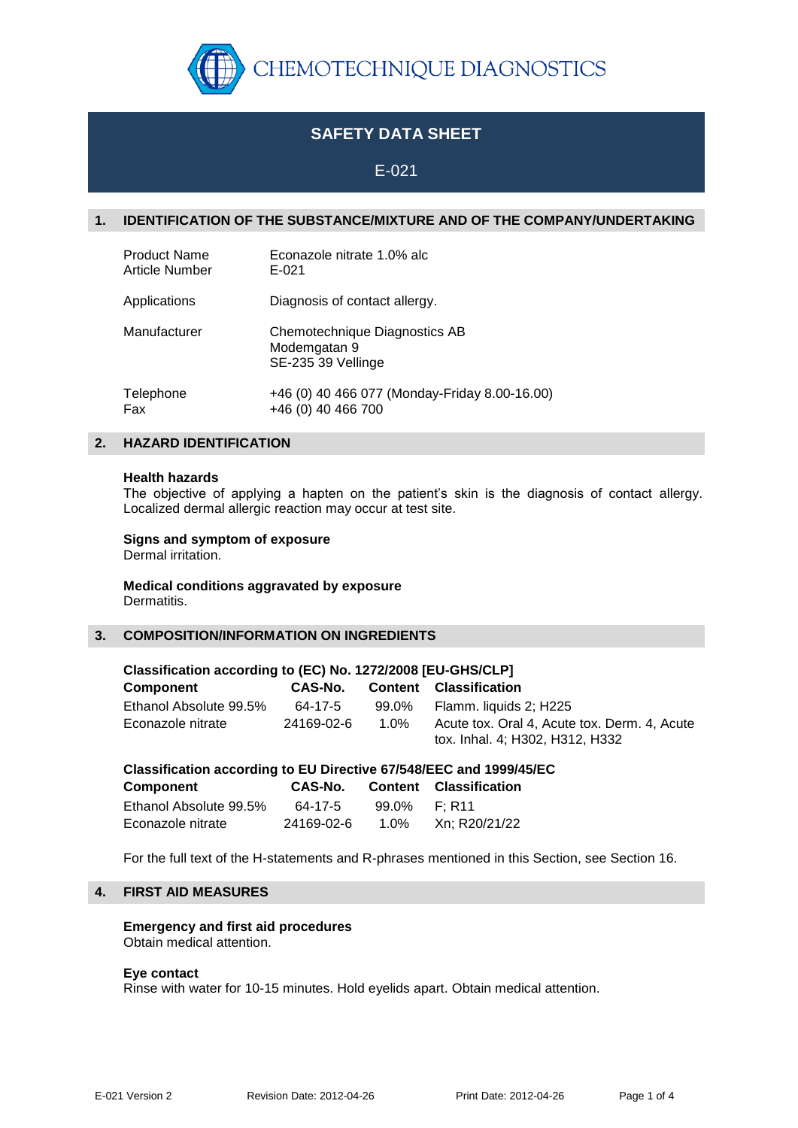

# **SAFETY DATA SHEET**

# E-021

# **1. IDENTIFICATION OF THE SUBSTANCE/MIXTURE AND OF THE COMPANY/UNDERTAKING**

| <b>Product Name</b> | Econazole nitrate 1.0% alc                                          |
|---------------------|---------------------------------------------------------------------|
| Article Number      | E-021                                                               |
| Applications        | Diagnosis of contact allergy.                                       |
| Manufacturer        | Chemotechnique Diagnostics AB<br>Modemgatan 9<br>SE-235 39 Vellinge |
| Telephone           | +46 (0) 40 466 077 (Monday-Friday 8.00-16.00)                       |
| Fax                 | +46 (0) 40 466 700                                                  |

# **2. HAZARD IDENTIFICATION**

#### **Health hazards**

The objective of applying a hapten on the patient's skin is the diagnosis of contact allergy. Localized dermal allergic reaction may occur at test site.

## **Signs and symptom of exposure**

Dermal irritation.

#### **Medical conditions aggravated by exposure** Dermatitis.

# **3. COMPOSITION/INFORMATION ON INGREDIENTS**

| Classification according to (EC) No. 1272/2008 [EU-GHS/CLP]        |            |                |                                                                                 |  |  |
|--------------------------------------------------------------------|------------|----------------|---------------------------------------------------------------------------------|--|--|
| <b>Component</b>                                                   | CAS-No.    | <b>Content</b> | <b>Classification</b>                                                           |  |  |
| Ethanol Absolute 99.5%                                             | 64-17-5    | 99.0%          | Flamm. liquids 2; H225                                                          |  |  |
| Econazole nitrate                                                  | 24169-02-6 | 1.0%           | Acute tox. Oral 4, Acute tox. Derm. 4, Acute<br>tox. Inhal. 4; H302, H312, H332 |  |  |
| Classification according to EU Directive 67/548/EEC and 1999/45/EC |            |                |                                                                                 |  |  |
| Component                                                          | CAS-No.    | <b>Content</b> | <b>Classification</b>                                                           |  |  |
| Ethanol Absolute 99.5%                                             | 64-17-5    | 99.0%          | F: R11                                                                          |  |  |

For the full text of the H-statements and R-phrases mentioned in this Section, see Section 16.

# **4. FIRST AID MEASURES**

### **Emergency and first aid procedures** Obtain medical attention.

#### **Eye contact**

Rinse with water for 10-15 minutes. Hold eyelids apart. Obtain medical attention.

Econazole nitrate 24169-02-6 1.0% Xn; R20/21/22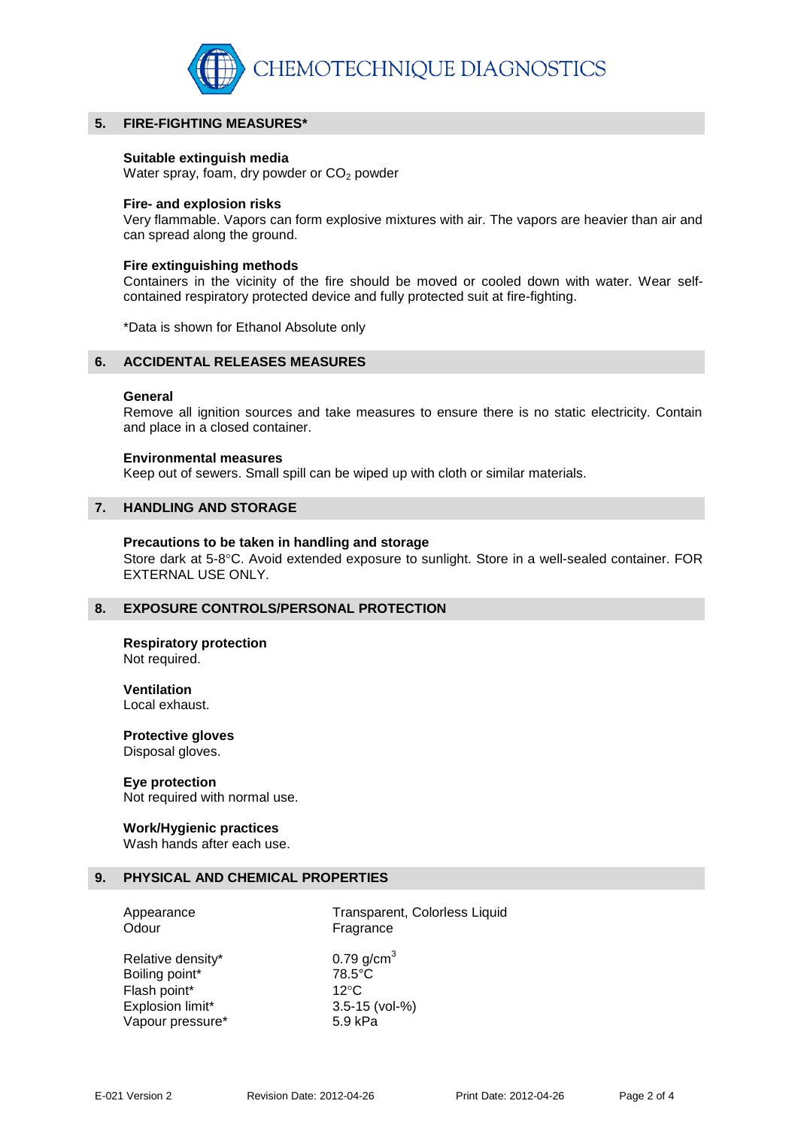

## **5. FIRE-FIGHTING MEASURES\***

#### **Suitable extinguish media**

Water spray, foam, dry powder or  $CO<sub>2</sub>$  powder

#### **Fire- and explosion risks**

Very flammable. Vapors can form explosive mixtures with air. The vapors are heavier than air and can spread along the ground.

#### **Fire extinguishing methods**

Containers in the vicinity of the fire should be moved or cooled down with water. Wear selfcontained respiratory protected device and fully protected suit at fire-fighting.

\*Data is shown for Ethanol Absolute only

# **6. ACCIDENTAL RELEASES MEASURES**

### **General**

Remove all ignition sources and take measures to ensure there is no static electricity. Contain and place in a closed container.

#### **Environmental measures**

Keep out of sewers. Small spill can be wiped up with cloth or similar materials.

## **7. HANDLING AND STORAGE**

#### **Precautions to be taken in handling and storage**

Store dark at 5-8°C. Avoid extended exposure to sunlight. Store in a well-sealed container. FOR EXTERNAL USE ONLY.

### **8. EXPOSURE CONTROLS/PERSONAL PROTECTION**

#### **Respiratory protection** Not required.

**Ventilation** Local exhaust.

**Protective gloves** Disposal gloves.

#### **Eye protection**

Not required with normal use.

#### **Work/Hygienic practices**

Wash hands after each use.

#### **9. PHYSICAL AND CHEMICAL PROPERTIES**

| Appearance |  |
|------------|--|
| Odour      |  |

Transparent, Colorless Liquid Fragrance

| Relative density* | $0.79$ g/cm <sup>3</sup> |
|-------------------|--------------------------|
| Boiling point*    | $78.5^{\circ}$ C         |
| Flash point*      | 12 $\circ$ C             |
| Explosion limit*  | 3.5-15 (vol-%)           |
| Vapour pressure*  | 5.9 kPa                  |
|                   |                          |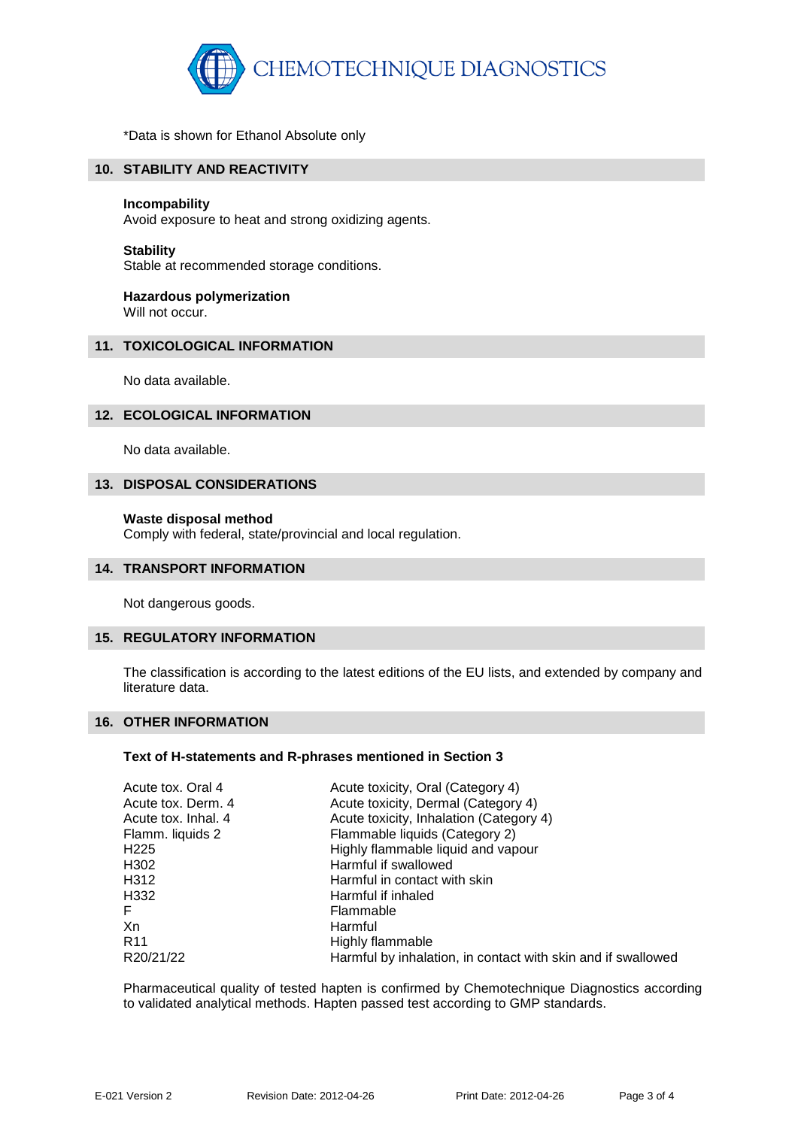

\*Data is shown for Ethanol Absolute only

# **10. STABILITY AND REACTIVITY**

#### **Incompability**

Avoid exposure to heat and strong oxidizing agents.

#### **Stability**

Stable at recommended storage conditions.

# **Hazardous polymerization**

Will not occur.

# **11. TOXICOLOGICAL INFORMATION**

No data available.

## **12. ECOLOGICAL INFORMATION**

No data available.

## **13. DISPOSAL CONSIDERATIONS**

#### **Waste disposal method**

Comply with federal, state/provincial and local regulation.

# **14. TRANSPORT INFORMATION**

Not dangerous goods.

# **15. REGULATORY INFORMATION**

The classification is according to the latest editions of the EU lists, and extended by company and literature data.

#### **16. OTHER INFORMATION**

#### **Text of H-statements and R-phrases mentioned in Section 3**

| Acute tox. Oral 4   | Acute toxicity, Oral (Category 4)                            |
|---------------------|--------------------------------------------------------------|
| Acute tox. Derm. 4  | Acute toxicity, Dermal (Category 4)                          |
| Acute tox. Inhal. 4 | Acute toxicity, Inhalation (Category 4)                      |
| Flamm. liquids 2    | Flammable liquids (Category 2)                               |
| H225                | Highly flammable liquid and vapour                           |
| H302                | Harmful if swallowed                                         |
| H312                | Harmful in contact with skin                                 |
| H332                | Harmful if inhaled                                           |
| F.                  | Flammable                                                    |
| Хn                  | Harmful                                                      |
| R <sub>11</sub>     | Highly flammable                                             |
| R20/21/22           | Harmful by inhalation, in contact with skin and if swallowed |
|                     |                                                              |

Pharmaceutical quality of tested hapten is confirmed by Chemotechnique Diagnostics according to validated analytical methods. Hapten passed test according to GMP standards.